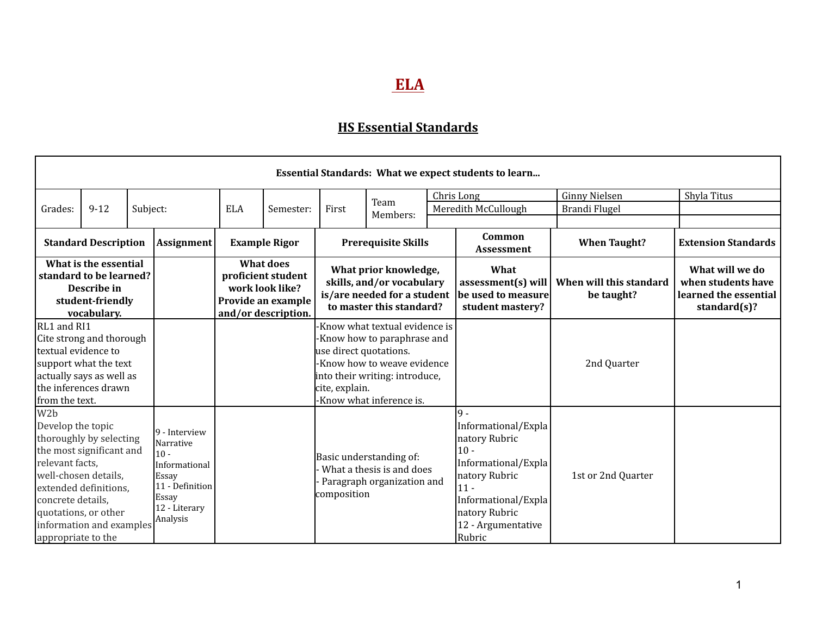## **ELA**

## **HS Essential Standards**

| Essential Standards: What we expect students to learn                                                                                                                                                                                                           |          |                                                                                                                         |                   |            |                                                                                                        |                                                                                                               |                                                                                                                                                        |                                                                                                                                                                                  |                                       |                                                                                    |                            |
|-----------------------------------------------------------------------------------------------------------------------------------------------------------------------------------------------------------------------------------------------------------------|----------|-------------------------------------------------------------------------------------------------------------------------|-------------------|------------|--------------------------------------------------------------------------------------------------------|---------------------------------------------------------------------------------------------------------------|--------------------------------------------------------------------------------------------------------------------------------------------------------|----------------------------------------------------------------------------------------------------------------------------------------------------------------------------------|---------------------------------------|------------------------------------------------------------------------------------|----------------------------|
|                                                                                                                                                                                                                                                                 |          |                                                                                                                         |                   |            |                                                                                                        |                                                                                                               |                                                                                                                                                        |                                                                                                                                                                                  | Chris Long                            | <b>Ginny Nielsen</b>                                                               | Shyla Titus                |
| Grades:                                                                                                                                                                                                                                                         | $9 - 12$ | Subject:                                                                                                                |                   | <b>ELA</b> | Semester:                                                                                              | First                                                                                                         | Team                                                                                                                                                   |                                                                                                                                                                                  | Meredith McCullough                   | Brandi Flugel                                                                      |                            |
|                                                                                                                                                                                                                                                                 |          |                                                                                                                         |                   |            |                                                                                                        |                                                                                                               | Members:                                                                                                                                               |                                                                                                                                                                                  |                                       |                                                                                    |                            |
| <b>Standard Description</b>                                                                                                                                                                                                                                     |          |                                                                                                                         | <b>Assignment</b> |            | <b>Example Rigor</b>                                                                                   |                                                                                                               | <b>Prerequisite Skills</b>                                                                                                                             |                                                                                                                                                                                  | Common<br><b>Assessment</b>           | <b>When Taught?</b>                                                                | <b>Extension Standards</b> |
| What is the essential<br>standard to be learned?<br>Describe in<br>student-friendly<br>vocabulary.                                                                                                                                                              |          |                                                                                                                         |                   |            | <b>What does</b><br>proficient student<br>work look like?<br>Provide an example<br>and/or description. | What prior knowledge,<br>skills, and/or vocabulary<br>is/are needed for a student<br>to master this standard? |                                                                                                                                                        | What<br>assessment(s) will<br>be used to measure<br>student mastery?                                                                                                             | When will this standard<br>be taught? | What will we do<br>when students have<br>learned the essential<br>standard $(s)$ ? |                            |
| RL1 and RI1<br>Cite strong and thorough<br>ltextual evidence to<br>support what the text<br>actually says as well as<br>the inferences drawn<br>from the text.                                                                                                  |          |                                                                                                                         |                   |            |                                                                                                        | use direct quotations.<br>cite, explain.                                                                      | Know what textual evidence is<br>Know how to paraphrase and<br>Know how to weave evidence<br>into their writing: introduce,<br>Know what inference is. |                                                                                                                                                                                  |                                       | 2nd Quarter                                                                        |                            |
| W <sub>2</sub> b<br>Develop the topic<br>thoroughly by selecting<br>the most significant and<br>relevant facts,<br>well-chosen details,<br>extended definitions,<br>concrete details,<br>quotations, or other<br>information and examples<br>appropriate to the |          | 9 - Interview<br>Narrative<br>$10 -$<br>Informational<br>Essay<br>11 - Definition<br>Essay<br>12 - Literary<br>Analysis |                   |            | composition                                                                                            | Basic understanding of:<br>What a thesis is and does<br>Paragraph organization and                            |                                                                                                                                                        | lq.<br>Informational/Expla<br>natory Rubric<br>$10 -$<br>Informational/Expla<br>natory Rubric<br>$ 11 -$<br>Informational/Expla<br>natory Rubric<br>12 - Argumentative<br>Rubric | 1st or 2nd Quarter                    |                                                                                    |                            |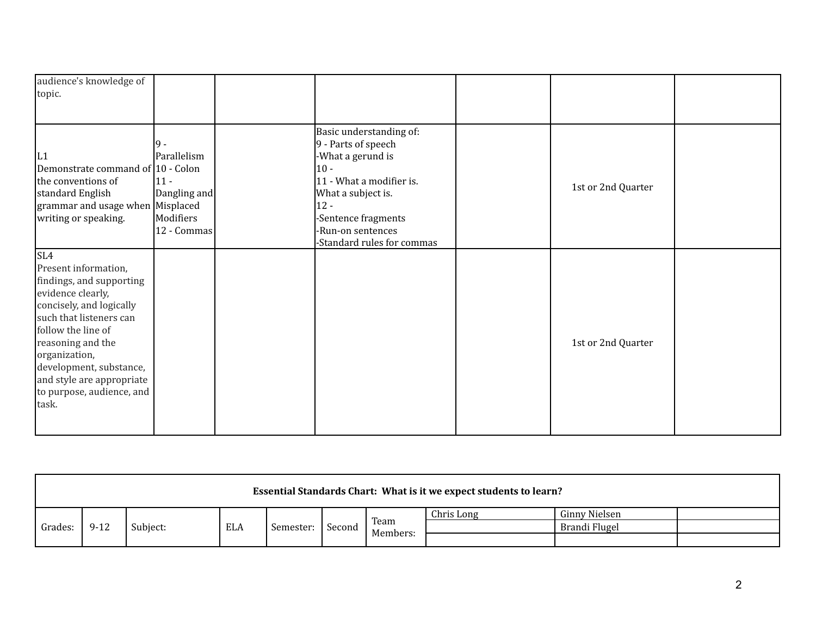| audience's knowledge of<br>topic.                                                                                                                                                                                                                                                             |                                                                            |                                                                                                                                                                                                                     |                    |  |
|-----------------------------------------------------------------------------------------------------------------------------------------------------------------------------------------------------------------------------------------------------------------------------------------------|----------------------------------------------------------------------------|---------------------------------------------------------------------------------------------------------------------------------------------------------------------------------------------------------------------|--------------------|--|
| L1<br>Demonstrate command of 10 - Colon<br>the conventions of<br>standard English<br>grammar and usage when Misplaced<br>writing or speaking.                                                                                                                                                 | 19 -<br>Parallelism<br>$ 11 -$<br>Dangling and<br>Modifiers<br>12 - Commas | Basic understanding of:<br>9 - Parts of speech<br>-What a gerund is<br>$10 -$<br>11 - What a modifier is.<br>What a subject is.<br>$12 -$<br>-Sentence fragments<br>-Run-on sentences<br>-Standard rules for commas | 1st or 2nd Quarter |  |
| SL4<br>Present information,<br>findings, and supporting<br>evidence clearly,<br>concisely, and logically<br>such that listeners can<br>follow the line of<br>reasoning and the<br>organization,<br>development, substance,<br>and style are appropriate<br>to purpose, audience, and<br>task. |                                                                            |                                                                                                                                                                                                                     | 1st or 2nd Quarter |  |

| Essential Standards Chart: What is it we expect students to learn? |          |                 |  |           |          |      |            |               |  |
|--------------------------------------------------------------------|----------|-----------------|--|-----------|----------|------|------------|---------------|--|
| Grades:                                                            | $9 - 12$ | Subject:<br>ELA |  | Semester: | Second   | Team | Chris Long | Ginny Nielsen |  |
|                                                                    |          |                 |  |           |          |      |            | Brandi Flugel |  |
|                                                                    |          |                 |  |           | Members: |      |            |               |  |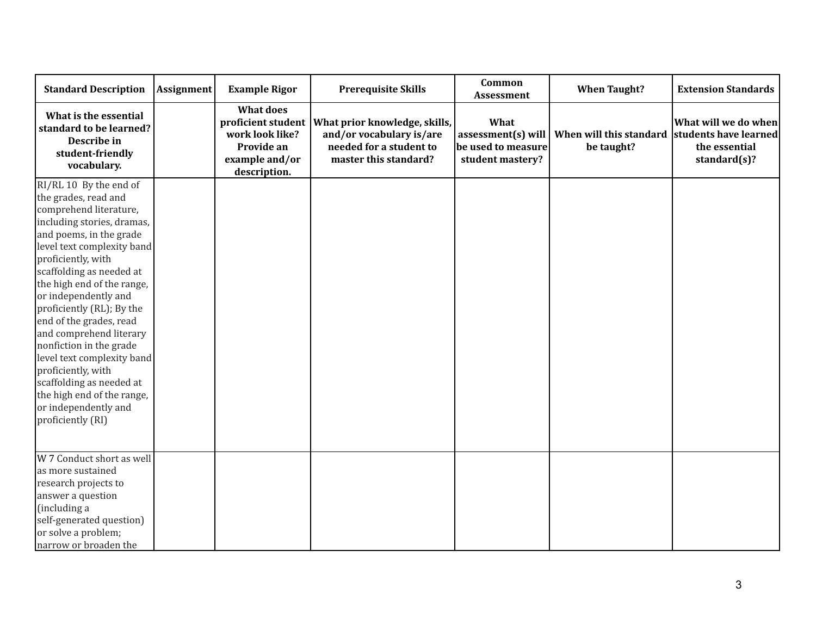| <b>Standard Description</b>                                                                                                                                                                                                                                                                                                                                                                                                                                                                                                                      | <b>Assignment</b> | <b>Example Rigor</b>                                                                                      | <b>Prerequisite Skills</b>                                                                                    | Common<br>Assessment                                                 | <b>When Taught?</b>                   | <b>Extension Standards</b>                                                         |
|--------------------------------------------------------------------------------------------------------------------------------------------------------------------------------------------------------------------------------------------------------------------------------------------------------------------------------------------------------------------------------------------------------------------------------------------------------------------------------------------------------------------------------------------------|-------------------|-----------------------------------------------------------------------------------------------------------|---------------------------------------------------------------------------------------------------------------|----------------------------------------------------------------------|---------------------------------------|------------------------------------------------------------------------------------|
| What is the essential<br>standard to be learned?<br>Describe in<br>student-friendly<br>vocabulary.                                                                                                                                                                                                                                                                                                                                                                                                                                               |                   | <b>What does</b><br>proficient student<br>work look like?<br>Provide an<br>example and/or<br>description. | What prior knowledge, skills,<br>and/or vocabulary is/are<br>needed for a student to<br>master this standard? | What<br>assessment(s) will<br>be used to measure<br>student mastery? | When will this standard<br>be taught? | What will we do when<br>students have learned<br>the essential<br>standard $(s)$ ? |
| RI/RL 10 By the end of<br>the grades, read and<br>comprehend literature,<br>including stories, dramas,<br>and poems, in the grade<br>level text complexity band<br>proficiently, with<br>scaffolding as needed at<br>the high end of the range,<br>or independently and<br>proficiently (RL); By the<br>end of the grades, read<br>and comprehend literary<br>nonfiction in the grade<br>level text complexity band<br>proficiently, with<br>scaffolding as needed at<br>the high end of the range,<br>or independently and<br>proficiently (RI) |                   |                                                                                                           |                                                                                                               |                                                                      |                                       |                                                                                    |
| W 7 Conduct short as well<br>as more sustained<br>research projects to<br>answer a question<br>(including a<br>self-generated question)<br>or solve a problem;<br>narrow or broaden the                                                                                                                                                                                                                                                                                                                                                          |                   |                                                                                                           |                                                                                                               |                                                                      |                                       |                                                                                    |